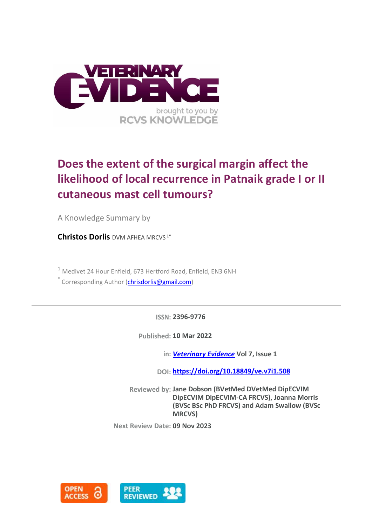

# **Does the extent of the surgical margin affect the likelihood of local recurrence in Patnaik grade I or II cutaneous mast cell tumours?**

A Knowledge Summary by

**Christos Dorlis** DVM AFHEA MRCVS<sup>1\*</sup>

<sup>1</sup> Medivet 24 Hour Enfield, 673 Hertford Road, Enfield, EN3 6NH

\* Corresponding Author [\(chrisdorlis@gmail.com\)](chrisdorlis@gmail.com)

**ISSN: 2396-9776**

**Published: 10 Mar 2022**

**in:** *[Veterinary Evidence](https://veterinaryevidence.org/index.php/ve)* **Vol 7, Issue 1**

**DOI: <https://doi.org/10.18849/ve.v7i1.508>**

**Reviewed by: Jane Dobson (BVetMed DVetMed DipECVIM DipECVIM DipECVIM-CA FRCVS), Joanna Morris (BVSc BSc PhD FRCVS) and Adam Swallow (BVSc MRCVS)**

**Next Review Date: 09 Nov 2023**

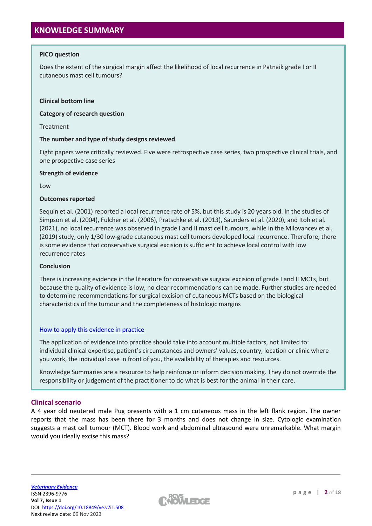# **PICO question**

Does the extent of the surgical margin affect the likelihood of local recurrence in Patnaik grade I or II cutaneous mast cell tumours?

# **Clinical bottom line**

**Category of research question**

Treatment

## **The number and type of study designs reviewed**

Eight papers were critically reviewed. Five were retrospective case series, two prospective clinical trials, and one prospective case series

## **Strength of evidence**

Low

## **Outcomes reported**

Sequin et al. (2001) reported a local recurrence rate of 5%, but this study is 20 years old. In the studies of Simpson et al. (2004), Fulcher et al. (2006), Pratschke et al. (2013), Saunders et al. (2020), and Itoh et al. (2021), no local recurrence was observed in grade I and II mast cell tumours, while in the Milovancev et al. (2019) study, only 1/30 low-grade cutaneous mast cell tumors developed local recurrence. Therefore, there is some evidence that conservative surgical excision is sufficient to achieve local control with low recurrence rates

#### **Conclusion**

There is increasing evidence in the literature for conservative surgical excision of grade I and II MCTs, but because the quality of evidence is low, no clear recommendations can be made. Further studies are needed to determine recommendations for surgical excision of cutaneous MCTs based on the biological characteristics of the tumour and the completeness of histologic margins

# [How to apply this evidence in practice](https://learn.rcvsknowledge.org/mod/book/view.php?id=50)

The application of evidence into practice should take into account multiple factors, not limited to: individual clinical expertise, patient's circumstances and owners' values, country, location or clinic where you work, the individual case in front of you, the availability of therapies and resources.

Knowledge Summaries are a resource to help reinforce or inform decision making. They do not override the responsibility or judgement of the practitioner to do what is best for the animal in their care.

# **Clinical scenario**

A 4 year old neutered male Pug presents with a 1 cm cutaneous mass in the left flank region. The owner reports that the mass has been there for 3 months and does not change in size. Cytologic examination suggests a mast cell tumour (MCT). Blood work and abdominal ultrasound were unremarkable. What margin would you ideally excise this mass?

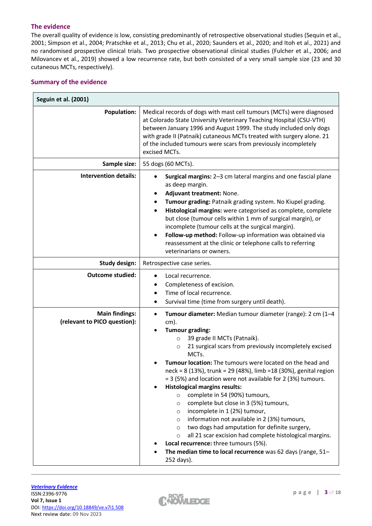# **The evidence**

The overall quality of evidence is low, consisting predominantly of retrospective observational studies (Sequin et al., 2001; Simpson et al., 2004; Pratschke et al., 2013; Chu et al., 2020; Saunders et al., 2020; and Itoh et al., 2021) and no randomised prospective clinical trials. Two prospective observational clinical studies (Fulcher et al., 2006; and Milovancev et al., 2019) showed a low recurrence rate, but both consisted of a very small sample size (23 and 30 cutaneous MCTs, respectively).

# **Summary of the evidence**

| Seguin et al. (2001)                                  |                                                                                                                                                                                                                                                                                                                                                                                                                                                                                                                                                                                                                                                                                                                                                                                                                                                                                                                                              |
|-------------------------------------------------------|----------------------------------------------------------------------------------------------------------------------------------------------------------------------------------------------------------------------------------------------------------------------------------------------------------------------------------------------------------------------------------------------------------------------------------------------------------------------------------------------------------------------------------------------------------------------------------------------------------------------------------------------------------------------------------------------------------------------------------------------------------------------------------------------------------------------------------------------------------------------------------------------------------------------------------------------|
| <b>Population:</b>                                    | Medical records of dogs with mast cell tumours (MCTs) were diagnosed<br>at Colorado State University Veterinary Teaching Hospital (CSU-VTH)<br>between January 1996 and August 1999. The study included only dogs<br>with grade II (Patnaik) cutaneous MCTs treated with surgery alone. 21<br>of the included tumours were scars from previously incompletely<br>excised MCTs.                                                                                                                                                                                                                                                                                                                                                                                                                                                                                                                                                               |
| Sample size:                                          | 55 dogs (60 MCTs).                                                                                                                                                                                                                                                                                                                                                                                                                                                                                                                                                                                                                                                                                                                                                                                                                                                                                                                           |
| <b>Intervention details:</b>                          | Surgical margins: 2-3 cm lateral margins and one fascial plane<br>as deep margin.<br>Adjuvant treatment: None.<br>٠<br>Tumour grading: Patnaik grading system. No Kiupel grading.<br>Histological margins: were categorised as complete, complete<br>but close (tumour cells within 1 mm of surgical margin), or<br>incomplete (tumour cells at the surgical margin).<br>Follow-up method: Follow-up information was obtained via<br>reassessment at the clinic or telephone calls to referring<br>veterinarians or owners.                                                                                                                                                                                                                                                                                                                                                                                                                  |
| <b>Study design:</b>                                  | Retrospective case series.                                                                                                                                                                                                                                                                                                                                                                                                                                                                                                                                                                                                                                                                                                                                                                                                                                                                                                                   |
| <b>Outcome studied:</b>                               | Local recurrence.<br>$\bullet$<br>Completeness of excision.<br>Time of local recurrence.<br>Survival time (time from surgery until death).<br>٠                                                                                                                                                                                                                                                                                                                                                                                                                                                                                                                                                                                                                                                                                                                                                                                              |
| <b>Main findings:</b><br>(relevant to PICO question): | Tumour diameter: Median tumour diameter (range): 2 cm (1-4<br>$\bullet$<br>$cm)$ .<br><b>Tumour grading:</b><br>39 grade II MCTs (Patnaik).<br>$\circ$<br>21 surgical scars from previously incompletely excised<br>$\circ$<br>MCTs.<br>Tumour location: The tumours were located on the head and<br>neck = 8 (13%), trunk = 29 (48%), limb = 18 (30%), genital region<br>= 3 (5%) and location were not available for 2 (3%) tumours.<br><b>Histological margins results:</b><br>complete in 54 (90%) tumours,<br>$\circ$<br>complete but close in 3 (5%) tumours,<br>$\circ$<br>incomplete in 1 (2%) tumour,<br>$\circ$<br>information not available in 2 (3%) tumours,<br>$\circ$<br>two dogs had amputation for definite surgery,<br>$\circ$<br>all 21 scar excision had complete histological margins.<br>$\circ$<br>Local recurrence: three tumours (5%).<br>The median time to local recurrence was 62 days (range, 51-<br>252 days). |

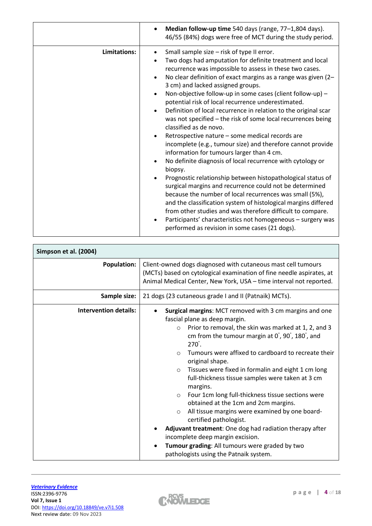|              | Median follow-up time 540 days (range, 77-1,804 days).<br>46/55 (84%) dogs were free of MCT during the study period.                                                                                                                                                                                                                                                                                                                                                                                                                                                                                                                                                                                                                                                                                                                                                                                                                                                                                                                                                                                                                                                                                                                   |
|--------------|----------------------------------------------------------------------------------------------------------------------------------------------------------------------------------------------------------------------------------------------------------------------------------------------------------------------------------------------------------------------------------------------------------------------------------------------------------------------------------------------------------------------------------------------------------------------------------------------------------------------------------------------------------------------------------------------------------------------------------------------------------------------------------------------------------------------------------------------------------------------------------------------------------------------------------------------------------------------------------------------------------------------------------------------------------------------------------------------------------------------------------------------------------------------------------------------------------------------------------------|
| Limitations: | Small sample size - risk of type II error.<br>Two dogs had amputation for definite treatment and local<br>recurrence was impossible to assess in these two cases.<br>No clear definition of exact margins as a range was given (2-<br>3 cm) and lacked assigned groups.<br>Non-objective follow-up in some cases (client follow-up) -<br>potential risk of local recurrence underestimated.<br>Definition of local recurrence in relation to the original scar<br>was not specified – the risk of some local recurrences being<br>classified as de novo.<br>Retrospective nature - some medical records are<br>incomplete (e.g., tumour size) and therefore cannot provide<br>information for tumours larger than 4 cm.<br>No definite diagnosis of local recurrence with cytology or<br>biopsy.<br>Prognostic relationship between histopathological status of<br>surgical margins and recurrence could not be determined<br>because the number of local recurrences was small (5%),<br>and the classification system of histological margins differed<br>from other studies and was therefore difficult to compare.<br>Participants' characteristics not homogeneous - surgery was<br>performed as revision in some cases (21 dogs). |

| Simpson et al. (2004)        |                                                                                                                                                                                                                                                                                                                                                                                                                                                                                                                                                                                                                                                                                                                                                                                                                                                 |
|------------------------------|-------------------------------------------------------------------------------------------------------------------------------------------------------------------------------------------------------------------------------------------------------------------------------------------------------------------------------------------------------------------------------------------------------------------------------------------------------------------------------------------------------------------------------------------------------------------------------------------------------------------------------------------------------------------------------------------------------------------------------------------------------------------------------------------------------------------------------------------------|
| <b>Population:</b>           | Client-owned dogs diagnosed with cutaneous mast cell tumours<br>(MCTs) based on cytological examination of fine needle aspirates, at<br>Animal Medical Center, New York, USA - time interval not reported.                                                                                                                                                                                                                                                                                                                                                                                                                                                                                                                                                                                                                                      |
| Sample size:                 | 21 dogs (23 cutaneous grade I and II (Patnaik) MCTs).                                                                                                                                                                                                                                                                                                                                                                                                                                                                                                                                                                                                                                                                                                                                                                                           |
| <b>Intervention details:</b> | Surgical margins: MCT removed with 3 cm margins and one<br>fascial plane as deep margin.<br>Prior to removal, the skin was marked at 1, 2, and 3<br>$\circ$<br>cm from the tumour margin at 0°, 90°, 180°, and<br>$270^\circ$ .<br>Tumours were affixed to cardboard to recreate their<br>$\circ$<br>original shape.<br>Tissues were fixed in formalin and eight 1 cm long<br>$\circ$<br>full-thickness tissue samples were taken at 3 cm<br>margins.<br>Four 1cm long full-thickness tissue sections were<br>$\circ$<br>obtained at the 1cm and 2cm margins.<br>All tissue margins were examined by one board-<br>$\circ$<br>certified pathologist.<br>Adjuvant treatment: One dog had radiation therapy after<br>incomplete deep margin excision.<br>Tumour grading: All tumours were graded by two<br>pathologists using the Patnaik system. |

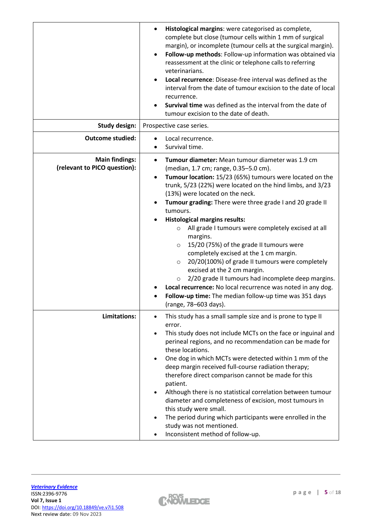|                                                       | Histological margins: were categorised as complete,<br>complete but close (tumour cells within 1 mm of surgical<br>margin), or incomplete (tumour cells at the surgical margin).<br>Follow-up methods: Follow-up information was obtained via<br>reassessment at the clinic or telephone calls to referring<br>veterinarians.<br>Local recurrence: Disease-free interval was defined as the<br>interval from the date of tumour excision to the date of local<br>recurrence.<br>Survival time was defined as the interval from the date of<br>tumour excision to the date of death.                                                                                                                                                                                                                                                                                                            |
|-------------------------------------------------------|------------------------------------------------------------------------------------------------------------------------------------------------------------------------------------------------------------------------------------------------------------------------------------------------------------------------------------------------------------------------------------------------------------------------------------------------------------------------------------------------------------------------------------------------------------------------------------------------------------------------------------------------------------------------------------------------------------------------------------------------------------------------------------------------------------------------------------------------------------------------------------------------|
| <b>Study design:</b>                                  | Prospective case series.                                                                                                                                                                                                                                                                                                                                                                                                                                                                                                                                                                                                                                                                                                                                                                                                                                                                       |
| <b>Outcome studied:</b>                               | Local recurrence.<br>Survival time.                                                                                                                                                                                                                                                                                                                                                                                                                                                                                                                                                                                                                                                                                                                                                                                                                                                            |
| <b>Main findings:</b><br>(relevant to PICO question): | Tumour diameter: Mean tumour diameter was 1.9 cm<br>$\bullet$<br>(median, 1.7 cm; range, 0.35-5.0 cm).<br>Tumour location: 15/23 (65%) tumours were located on the<br>$\bullet$<br>trunk, 5/23 (22%) were located on the hind limbs, and 3/23<br>(13%) were located on the neck.<br>Tumour grading: There were three grade I and 20 grade II<br>tumours.<br><b>Histological margins results:</b><br>All grade I tumours were completely excised at all<br>$\circ$<br>margins.<br>15/20 (75%) of the grade II tumours were<br>$\circ$<br>completely excised at the 1 cm margin.<br>20/20(100%) of grade II tumours were completely<br>$\circ$<br>excised at the 2 cm margin.<br>2/20 grade II tumours had incomplete deep margins.<br>$\circ$<br>Local recurrence: No local recurrence was noted in any dog.<br>Follow-up time: The median follow-up time was 351 days<br>(range, 78-603 days). |
| Limitations:                                          | This study has a small sample size and is prone to type II<br>error.<br>This study does not include MCTs on the face or inguinal and<br>perineal regions, and no recommendation can be made for<br>these locations.<br>One dog in which MCTs were detected within 1 mm of the<br>deep margin received full-course radiation therapy;<br>therefore direct comparison cannot be made for this<br>patient.<br>Although there is no statistical correlation between tumour<br>diameter and completeness of excision, most tumours in<br>this study were small.<br>The period during which participants were enrolled in the<br>$\bullet$<br>study was not mentioned.<br>Inconsistent method of follow-up.                                                                                                                                                                                          |

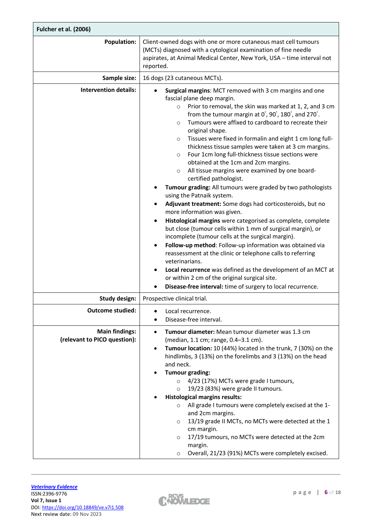| Fulcher et al. (2006)                                 |                                                                                                                                                                                                                                                                                                                                                                                                                                                                                                                                                                                                                                                                                                                                                                                                                                                                                                                                                                                                                                                                                                                                                                                                                                                                                                                                             |
|-------------------------------------------------------|---------------------------------------------------------------------------------------------------------------------------------------------------------------------------------------------------------------------------------------------------------------------------------------------------------------------------------------------------------------------------------------------------------------------------------------------------------------------------------------------------------------------------------------------------------------------------------------------------------------------------------------------------------------------------------------------------------------------------------------------------------------------------------------------------------------------------------------------------------------------------------------------------------------------------------------------------------------------------------------------------------------------------------------------------------------------------------------------------------------------------------------------------------------------------------------------------------------------------------------------------------------------------------------------------------------------------------------------|
| <b>Population:</b>                                    | Client-owned dogs with one or more cutaneous mast cell tumours<br>(MCTs) diagnosed with a cytological examination of fine needle<br>aspirates, at Animal Medical Center, New York, USA - time interval not<br>reported.                                                                                                                                                                                                                                                                                                                                                                                                                                                                                                                                                                                                                                                                                                                                                                                                                                                                                                                                                                                                                                                                                                                     |
| Sample size:                                          | 16 dogs (23 cutaneous MCTs).                                                                                                                                                                                                                                                                                                                                                                                                                                                                                                                                                                                                                                                                                                                                                                                                                                                                                                                                                                                                                                                                                                                                                                                                                                                                                                                |
| <b>Intervention details:</b>                          | Surgical margins: MCT removed with 3 cm margins and one<br>fascial plane deep margin.<br>Prior to removal, the skin was marked at 1, 2, and 3 cm<br>$\circ$<br>from the tumour margin at 0°, 90°, 180°, and 270°.<br>Tumours were affixed to cardboard to recreate their<br>$\circ$<br>original shape.<br>Tissues were fixed in formalin and eight 1 cm long full-<br>$\circ$<br>thickness tissue samples were taken at 3 cm margins.<br>Four 1cm long full-thickness tissue sections were<br>$\circ$<br>obtained at the 1cm and 2cm margins.<br>All tissue margins were examined by one board-<br>$\circ$<br>certified pathologist.<br>Tumour grading: All tumours were graded by two pathologists<br>using the Patnaik system.<br>Adjuvant treatment: Some dogs had corticosteroids, but no<br>more information was given.<br>Histological margins were categorised as complete, complete<br>but close (tumour cells within 1 mm of surgical margin), or<br>incomplete (tumour cells at the surgical margin).<br>Follow-up method: Follow-up information was obtained via<br>reassessment at the clinic or telephone calls to referring<br>veterinarians.<br>Local recurrence was defined as the development of an MCT at<br>or within 2 cm of the original surgical site.<br>Disease-free interval: time of surgery to local recurrence. |
| Study design:                                         | Prospective clinical trial.                                                                                                                                                                                                                                                                                                                                                                                                                                                                                                                                                                                                                                                                                                                                                                                                                                                                                                                                                                                                                                                                                                                                                                                                                                                                                                                 |
| <b>Outcome studied:</b>                               | Local recurrence.<br>Disease-free interval.                                                                                                                                                                                                                                                                                                                                                                                                                                                                                                                                                                                                                                                                                                                                                                                                                                                                                                                                                                                                                                                                                                                                                                                                                                                                                                 |
| <b>Main findings:</b><br>(relevant to PICO question): | Tumour diameter: Mean tumour diameter was 1.3 cm<br>$\bullet$<br>(median, 1.1 cm; range, 0.4-3.1 cm).<br>Tumour location: 10 (44%) located in the trunk, 7 (30%) on the<br>٠<br>hindlimbs, 3 (13%) on the forelimbs and 3 (13%) on the head<br>and neck.<br><b>Tumour grading:</b><br>4/23 (17%) MCTs were grade I tumours,<br>$\circ$<br>19/23 (83%) were grade II tumours.<br>$\circ$<br><b>Histological margins results:</b><br>All grade I tumours were completely excised at the 1-<br>$\circ$<br>and 2cm margins.<br>13/19 grade II MCTs, no MCTs were detected at the 1<br>$\circ$<br>cm margin.<br>17/19 tumours, no MCTs were detected at the 2cm<br>$\circ$<br>margin.<br>Overall, 21/23 (91%) MCTs were completely excised.                                                                                                                                                                                                                                                                                                                                                                                                                                                                                                                                                                                                      |

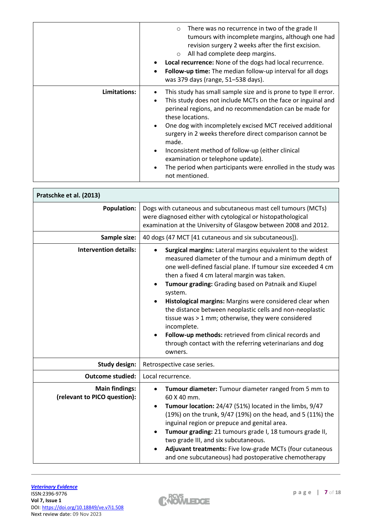|              | There was no recurrence in two of the grade II<br>$\circ$<br>tumours with incomplete margins, although one had<br>revision surgery 2 weeks after the first excision.<br>All had complete deep margins.<br>$\circ$<br>Local recurrence: None of the dogs had local recurrence.<br>Follow-up time: The median follow-up interval for all dogs<br>was 379 days (range, 51-538 days).                                                                                                                                                                                       |
|--------------|-------------------------------------------------------------------------------------------------------------------------------------------------------------------------------------------------------------------------------------------------------------------------------------------------------------------------------------------------------------------------------------------------------------------------------------------------------------------------------------------------------------------------------------------------------------------------|
| Limitations: | This study has small sample size and is prone to type II error.<br>This study does not include MCTs on the face or inguinal and<br>$\bullet$<br>perineal regions, and no recommendation can be made for<br>these locations.<br>One dog with incompletely excised MCT received additional<br>$\bullet$<br>surgery in 2 weeks therefore direct comparison cannot be<br>made.<br>Inconsistent method of follow-up (either clinical<br>$\bullet$<br>examination or telephone update).<br>The period when participants were enrolled in the study was<br>٠<br>not mentioned. |

| Pratschke et al. (2013)                               |                                                                                                                                                                                                                                                                                                                                                                                                                                                                                                                                                                                                                                                  |
|-------------------------------------------------------|--------------------------------------------------------------------------------------------------------------------------------------------------------------------------------------------------------------------------------------------------------------------------------------------------------------------------------------------------------------------------------------------------------------------------------------------------------------------------------------------------------------------------------------------------------------------------------------------------------------------------------------------------|
| <b>Population:</b>                                    | Dogs with cutaneous and subcutaneous mast cell tumours (MCTs)<br>were diagnosed either with cytological or histopathological<br>examination at the University of Glasgow between 2008 and 2012.                                                                                                                                                                                                                                                                                                                                                                                                                                                  |
| Sample size:                                          | 40 dogs (47 MCT [41 cutaneous and six subcutaneous]).                                                                                                                                                                                                                                                                                                                                                                                                                                                                                                                                                                                            |
| <b>Intervention details:</b>                          | Surgical margins: Lateral margins equivalent to the widest<br>measured diameter of the tumour and a minimum depth of<br>one well-defined fascial plane. If tumour size exceeded 4 cm<br>then a fixed 4 cm lateral margin was taken.<br>Tumour grading: Grading based on Patnaik and Kiupel<br>system.<br>Histological margins: Margins were considered clear when<br>the distance between neoplastic cells and non-neoplastic<br>tissue was > 1 mm; otherwise, they were considered<br>incomplete.<br>Follow-up methods: retrieved from clinical records and<br>$\bullet$<br>through contact with the referring veterinarians and dog<br>owners. |
| Study design:                                         | Retrospective case series.                                                                                                                                                                                                                                                                                                                                                                                                                                                                                                                                                                                                                       |
| <b>Outcome studied:</b>                               | Local recurrence.                                                                                                                                                                                                                                                                                                                                                                                                                                                                                                                                                                                                                                |
| <b>Main findings:</b><br>(relevant to PICO question): | Tumour diameter: Tumour diameter ranged from 5 mm to<br>60 X 40 mm.<br>Tumour location: 24/47 (51%) located in the limbs, 9/47<br>$\bullet$<br>(19%) on the trunk, 9/47 (19%) on the head, and 5 (11%) the<br>inguinal region or prepuce and genital area.<br>Tumour grading: 21 tumours grade I, 18 tumours grade II,<br>two grade III, and six subcutaneous.<br>Adjuvant treatments: Five low-grade MCTs (four cutaneous<br>and one subcutaneous) had postoperative chemotherapy                                                                                                                                                               |

 $\sqrt{2}$ 



 $\overline{\phantom{a}}$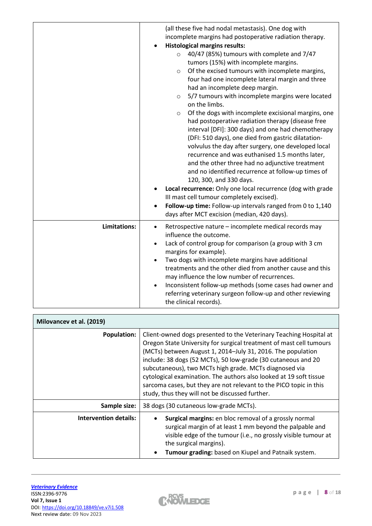|              | (all these five had nodal metastasis). One dog with<br>incomplete margins had postoperative radiation therapy.<br><b>Histological margins results:</b><br>$\bullet$<br>40/47 (85%) tumours with complete and 7/47<br>$\circ$<br>tumors (15%) with incomplete margins.<br>Of the excised tumours with incomplete margins,<br>$\circ$<br>four had one incomplete lateral margin and three<br>had an incomplete deep margin.<br>5/7 tumours with incomplete margins were located<br>$\circ$<br>on the limbs.<br>Of the dogs with incomplete excisional margins, one<br>$\circ$<br>had postoperative radiation therapy (disease free<br>interval [DFI]: 300 days) and one had chemotherapy<br>(DFI: 510 days), one died from gastric dilatation-<br>volvulus the day after surgery, one developed local<br>recurrence and was euthanised 1.5 months later,<br>and the other three had no adjunctive treatment<br>and no identified recurrence at follow-up times of<br>120, 300, and 330 days.<br>Local recurrence: Only one local recurrence (dog with grade<br>III mast cell tumour completely excised).<br>Follow-up time: Follow-up intervals ranged from 0 to 1,140<br>days after MCT excision (median, 420 days). |
|--------------|---------------------------------------------------------------------------------------------------------------------------------------------------------------------------------------------------------------------------------------------------------------------------------------------------------------------------------------------------------------------------------------------------------------------------------------------------------------------------------------------------------------------------------------------------------------------------------------------------------------------------------------------------------------------------------------------------------------------------------------------------------------------------------------------------------------------------------------------------------------------------------------------------------------------------------------------------------------------------------------------------------------------------------------------------------------------------------------------------------------------------------------------------------------------------------------------------------------------|
| Limitations: | Retrospective nature - incomplete medical records may<br>$\bullet$<br>influence the outcome.<br>Lack of control group for comparison (a group with 3 cm<br>margins for example).<br>Two dogs with incomplete margins have additional<br>$\bullet$<br>treatments and the other died from another cause and this<br>may influence the low number of recurrences.<br>Inconsistent follow-up methods (some cases had owner and<br>referring veterinary surgeon follow-up and other reviewing<br>the clinical records).                                                                                                                                                                                                                                                                                                                                                                                                                                                                                                                                                                                                                                                                                                  |

| Milovancev et al. (2019)     |                                                                                                                                                                                                                                                                                                                                                                                                                                                                                                                                    |
|------------------------------|------------------------------------------------------------------------------------------------------------------------------------------------------------------------------------------------------------------------------------------------------------------------------------------------------------------------------------------------------------------------------------------------------------------------------------------------------------------------------------------------------------------------------------|
| <b>Population:</b>           | Client-owned dogs presented to the Veterinary Teaching Hospital at<br>Oregon State University for surgical treatment of mast cell tumours<br>(MCTs) between August 1, 2014-July 31, 2016. The population<br>include: 38 dogs (52 MCTs), 50 low-grade (30 cutaneous and 20<br>subcutaneous), two MCTs high grade. MCTs diagnosed via<br>cytological examination. The authors also looked at 19 soft tissue<br>sarcoma cases, but they are not relevant to the PICO topic in this<br>study, thus they will not be discussed further. |
| Sample size:                 | 38 dogs (30 cutaneous low-grade MCTs).                                                                                                                                                                                                                                                                                                                                                                                                                                                                                             |
| <b>Intervention details:</b> | <b>Surgical margins:</b> en bloc removal of a grossly normal<br>surgical margin of at least 1 mm beyond the palpable and<br>visible edge of the tumour (i.e., no grossly visible tumour at<br>the surgical margins).<br>Tumour grading: based on Kiupel and Patnaik system.                                                                                                                                                                                                                                                        |

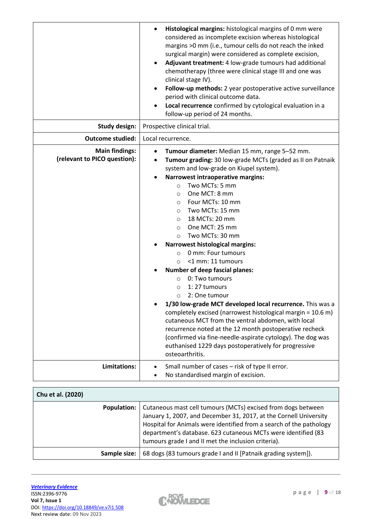|                                                       | Histological margins: histological margins of 0 mm were<br>considered as incomplete excision whereas histological<br>margins >0 mm (i.e., tumour cells do not reach the inked<br>surgical margin) were considered as complete excision,<br>Adjuvant treatment: 4 low-grade tumours had additional<br>chemotherapy (three were clinical stage III and one was<br>clinical stage IV).<br>Follow-up methods: 2 year postoperative active surveillance<br>period with clinical outcome data.<br>Local recurrence confirmed by cytological evaluation in a<br>follow-up period of 24 months.                                                                                                                                                                                                                                                                                                                                                                                                                                                       |
|-------------------------------------------------------|-----------------------------------------------------------------------------------------------------------------------------------------------------------------------------------------------------------------------------------------------------------------------------------------------------------------------------------------------------------------------------------------------------------------------------------------------------------------------------------------------------------------------------------------------------------------------------------------------------------------------------------------------------------------------------------------------------------------------------------------------------------------------------------------------------------------------------------------------------------------------------------------------------------------------------------------------------------------------------------------------------------------------------------------------|
| <b>Study design:</b>                                  | Prospective clinical trial.                                                                                                                                                                                                                                                                                                                                                                                                                                                                                                                                                                                                                                                                                                                                                                                                                                                                                                                                                                                                                   |
| <b>Outcome studied:</b>                               | Local recurrence.                                                                                                                                                                                                                                                                                                                                                                                                                                                                                                                                                                                                                                                                                                                                                                                                                                                                                                                                                                                                                             |
| <b>Main findings:</b><br>(relevant to PICO question): | Tumour diameter: Median 15 mm, range 5-52 mm.<br>Tumour grading: 30 low-grade MCTs (graded as II on Patnaik<br>system and low-grade on Kiupel system).<br><b>Narrowest intraoperative margins:</b><br>Two MCTs: 5 mm<br>$\circ$<br>One MCT: 8 mm<br>$\circ$<br>Four MCTs: 10 mm<br>$\circ$<br>Two MCTs: 15 mm<br>$\circ$<br>18 MCTs: 20 mm<br>$\circ$<br>One MCT: 25 mm<br>$\circ$<br>Two MCTs: 30 mm<br>$\circ$<br><b>Narrowest histological margins:</b><br>0 mm: Four tumours<br>$\circ$<br><1 mm: 11 tumours<br>$\circ$<br><b>Number of deep fascial planes:</b><br>0: Two tumours<br>$\circ$<br>1:27 tumours<br>$\circ$<br>2: One tumour<br>$\circ$<br>1/30 low-grade MCT developed local recurrence. This was a<br>completely excised (narrowest histological margin = 10.6 m)<br>cutaneous MCT from the ventral abdomen, with local<br>recurrence noted at the 12 month postoperative recheck<br>(confirmed via fine-needle-aspirate cytology). The dog was<br>euthanised 1229 days postoperatively for progressive<br>osteoarthritis. |
| Limitations:                                          | Small number of cases - risk of type II error.                                                                                                                                                                                                                                                                                                                                                                                                                                                                                                                                                                                                                                                                                                                                                                                                                                                                                                                                                                                                |
|                                                       | No standardised margin of excision.                                                                                                                                                                                                                                                                                                                                                                                                                                                                                                                                                                                                                                                                                                                                                                                                                                                                                                                                                                                                           |

| Chu et al. (2020)  |                                                                                                                                                                                                                                                                                                                                  |
|--------------------|----------------------------------------------------------------------------------------------------------------------------------------------------------------------------------------------------------------------------------------------------------------------------------------------------------------------------------|
| <b>Population:</b> | Cutaneous mast cell tumours (MCTs) excised from dogs between<br>January 1, 2007, and December 31, 2017, at the Cornell University<br>Hospital for Animals were identified from a search of the pathology<br>department's database. 623 cutaneous MCTs were identified (83<br>tumours grade I and II met the inclusion criteria). |
| Sample size:       | 68 dogs (83 tumours grade I and II [Patnaik grading system]).                                                                                                                                                                                                                                                                    |

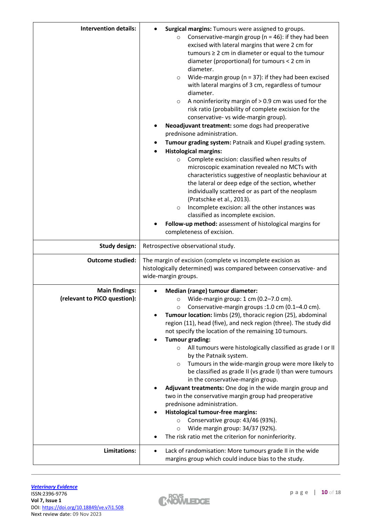| <b>Intervention details:</b>                          | Surgical margins: Tumours were assigned to groups.<br>Conservative-margin group ( $n = 46$ ): if they had been<br>$\circ$<br>excised with lateral margins that were 2 cm for<br>tumours $\geq 2$ cm in diameter or equal to the tumour<br>diameter (proportional) for tumours < 2 cm in<br>diameter.<br>Wide-margin group ( $n = 37$ ): if they had been excised<br>$\circ$<br>with lateral margins of 3 cm, regardless of tumour<br>diameter.<br>A noninferiority margin of $> 0.9$ cm was used for the<br>$\circ$<br>risk ratio (probability of complete excision for the<br>conservative- vs wide-margin group).<br>Neoadjuvant treatment: some dogs had preoperative                                                                                                                                                                                                                                                                                                                                |
|-------------------------------------------------------|---------------------------------------------------------------------------------------------------------------------------------------------------------------------------------------------------------------------------------------------------------------------------------------------------------------------------------------------------------------------------------------------------------------------------------------------------------------------------------------------------------------------------------------------------------------------------------------------------------------------------------------------------------------------------------------------------------------------------------------------------------------------------------------------------------------------------------------------------------------------------------------------------------------------------------------------------------------------------------------------------------|
|                                                       | prednisone administration.                                                                                                                                                                                                                                                                                                                                                                                                                                                                                                                                                                                                                                                                                                                                                                                                                                                                                                                                                                              |
|                                                       | Tumour grading system: Patnaik and Kiupel grading system.                                                                                                                                                                                                                                                                                                                                                                                                                                                                                                                                                                                                                                                                                                                                                                                                                                                                                                                                               |
|                                                       | <b>Histological margins:</b><br>٠                                                                                                                                                                                                                                                                                                                                                                                                                                                                                                                                                                                                                                                                                                                                                                                                                                                                                                                                                                       |
|                                                       | Complete excision: classified when results of<br>$\circ$<br>microscopic examination revealed no MCTs with<br>characteristics suggestive of neoplastic behaviour at<br>the lateral or deep edge of the section, whether<br>individually scattered or as part of the neoplasm<br>(Pratschke et al., 2013).<br>Incomplete excision: all the other instances was<br>$\circ$<br>classified as incomplete excision.                                                                                                                                                                                                                                                                                                                                                                                                                                                                                                                                                                                           |
|                                                       | Follow-up method: assessment of histological margins for<br>completeness of excision.                                                                                                                                                                                                                                                                                                                                                                                                                                                                                                                                                                                                                                                                                                                                                                                                                                                                                                                   |
| <b>Study design:</b>                                  | Retrospective observational study.                                                                                                                                                                                                                                                                                                                                                                                                                                                                                                                                                                                                                                                                                                                                                                                                                                                                                                                                                                      |
| <b>Outcome studied:</b>                               | The margin of excision (complete vs incomplete excision as<br>histologically determined) was compared between conservative- and<br>wide-margin groups.                                                                                                                                                                                                                                                                                                                                                                                                                                                                                                                                                                                                                                                                                                                                                                                                                                                  |
| <b>Main findings:</b><br>(relevant to PICO question): | Median (range) tumour diameter:<br>Wide-margin group: 1 cm (0.2-7.0 cm).<br>$\circ$<br>Conservative-margin groups : 1.0 cm (0.1-4.0 cm).<br>$\circ$<br>Tumour location: limbs (29), thoracic region (25), abdominal<br>region (11), head (five), and neck region (three). The study did<br>not specify the location of the remaining 10 tumours.<br><b>Tumour grading:</b><br>All tumours were histologically classified as grade I or II<br>$\circ$<br>by the Patnaik system.<br>Tumours in the wide-margin group were more likely to<br>$\circ$<br>be classified as grade II (vs grade I) than were tumours<br>in the conservative-margin group.<br>Adjuvant treatments: One dog in the wide margin group and<br>two in the conservative margin group had preoperative<br>prednisone administration.<br><b>Histological tumour-free margins:</b><br>Conservative group: 43/46 (93%).<br>$\circ$<br>Wide margin group: 34/37 (92%).<br>$\circ$<br>The risk ratio met the criterion for noninferiority. |
| Limitations:                                          | Lack of randomisation: More tumours grade II in the wide<br>margins group which could induce bias to the study.                                                                                                                                                                                                                                                                                                                                                                                                                                                                                                                                                                                                                                                                                                                                                                                                                                                                                         |

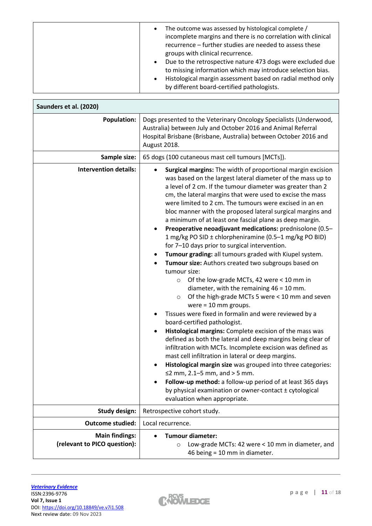| The outcome was assessed by histological complete /<br>$\bullet$<br>incomplete margins and there is no correlation with clinical<br>recurrence – further studies are needed to assess these<br>groups with clinical recurrence.<br>Due to the retrospective nature 473 dogs were excluded due<br>$\bullet$ |
|------------------------------------------------------------------------------------------------------------------------------------------------------------------------------------------------------------------------------------------------------------------------------------------------------------|
| to missing information which may introduce selection bias.<br>Histological margin assessment based on radial method only<br>$\bullet$<br>by different board-certified pathologists.                                                                                                                        |

| Saunders et al. (2020)                                |                                                                                                                                                                                                                                                                                                                                                                                                                                                                                                                                                                                                                                                                                                                                                                                                                                                                                                                                                                                                                                                                                                                                                                                                                                                                                                                                                                                                                                                                                                                                                  |  |  |  |
|-------------------------------------------------------|--------------------------------------------------------------------------------------------------------------------------------------------------------------------------------------------------------------------------------------------------------------------------------------------------------------------------------------------------------------------------------------------------------------------------------------------------------------------------------------------------------------------------------------------------------------------------------------------------------------------------------------------------------------------------------------------------------------------------------------------------------------------------------------------------------------------------------------------------------------------------------------------------------------------------------------------------------------------------------------------------------------------------------------------------------------------------------------------------------------------------------------------------------------------------------------------------------------------------------------------------------------------------------------------------------------------------------------------------------------------------------------------------------------------------------------------------------------------------------------------------------------------------------------------------|--|--|--|
| <b>Population:</b>                                    | Dogs presented to the Veterinary Oncology Specialists (Underwood,<br>Australia) between July and October 2016 and Animal Referral<br>Hospital Brisbane (Brisbane, Australia) between October 2016 and<br>August 2018.<br>65 dogs (100 cutaneous mast cell tumours [MCTs]).                                                                                                                                                                                                                                                                                                                                                                                                                                                                                                                                                                                                                                                                                                                                                                                                                                                                                                                                                                                                                                                                                                                                                                                                                                                                       |  |  |  |
| Sample size:                                          |                                                                                                                                                                                                                                                                                                                                                                                                                                                                                                                                                                                                                                                                                                                                                                                                                                                                                                                                                                                                                                                                                                                                                                                                                                                                                                                                                                                                                                                                                                                                                  |  |  |  |
| <b>Intervention details:</b>                          | Surgical margins: The width of proportional margin excision<br>was based on the largest lateral diameter of the mass up to<br>a level of 2 cm. If the tumour diameter was greater than 2<br>cm, the lateral margins that were used to excise the mass<br>were limited to 2 cm. The tumours were excised in an en<br>bloc manner with the proposed lateral surgical margins and<br>a minimum of at least one fascial plane as deep margin.<br>Preoperative neoadjuvant medications: prednisolone (0.5-<br>1 mg/kg PO SID ± chlorpheniramine (0.5-1 mg/kg PO BID)<br>for 7-10 days prior to surgical intervention.<br>Tumour grading: all tumours graded with Kiupel system.<br>Tumour size: Authors created two subgroups based on<br>tumour size:<br>Of the low-grade MCTs, 42 were < 10 mm in<br>$\circ$<br>diameter, with the remaining $46 = 10$ mm.<br>Of the high-grade MCTs 5 were < 10 mm and seven<br>$\circ$<br>were $= 10$ mm groups.<br>Tissues were fixed in formalin and were reviewed by a<br>board-certified pathologist.<br>Histological margins: Complete excision of the mass was<br>defined as both the lateral and deep margins being clear of<br>infiltration with MCTs. Incomplete excision was defined as<br>mast cell infiltration in lateral or deep margins.<br>Histological margin size was grouped into three categories:<br>≤2 mm, $2.1 - 5$ mm, and > 5 mm.<br>Follow-up method: a follow-up period of at least 365 days<br>by physical examination or owner-contact ± cytological<br>evaluation when appropriate. |  |  |  |
| <b>Study design:</b>                                  | Retrospective cohort study.                                                                                                                                                                                                                                                                                                                                                                                                                                                                                                                                                                                                                                                                                                                                                                                                                                                                                                                                                                                                                                                                                                                                                                                                                                                                                                                                                                                                                                                                                                                      |  |  |  |
| <b>Outcome studied:</b>                               | Local recurrence.                                                                                                                                                                                                                                                                                                                                                                                                                                                                                                                                                                                                                                                                                                                                                                                                                                                                                                                                                                                                                                                                                                                                                                                                                                                                                                                                                                                                                                                                                                                                |  |  |  |
| <b>Main findings:</b><br>(relevant to PICO question): | Tumour diameter:<br>Low-grade MCTs: 42 were < 10 mm in diameter, and<br>$\circ$<br>46 being = 10 mm in diameter.                                                                                                                                                                                                                                                                                                                                                                                                                                                                                                                                                                                                                                                                                                                                                                                                                                                                                                                                                                                                                                                                                                                                                                                                                                                                                                                                                                                                                                 |  |  |  |

 $\overline{r}$ 

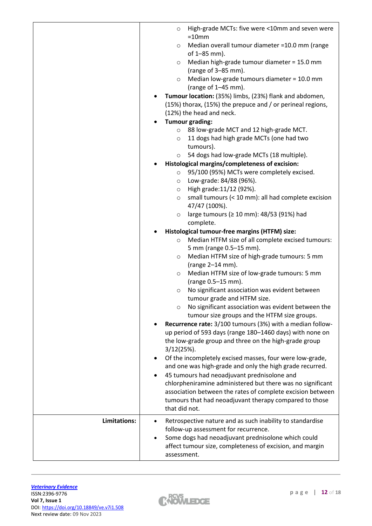|              | High-grade MCTs: five were <10mm and seven were<br>$\circ$<br>$=10$ mm<br>Median overall tumour diameter =10.0 mm (range<br>O<br>of 1-85 mm).<br>Median high-grade tumour diameter = 15.0 mm<br>$\circ$<br>(range of 3-85 mm).<br>Median low-grade tumours diameter = 10.0 mm<br>$\circ$<br>(range of $1-45$ mm).<br>Tumour location: (35%) limbs, (23%) flank and abdomen,<br>(15%) thorax, (15%) the prepuce and / or perineal regions,<br>(12%) the head and neck.                                                                                                                                                                                                                                               |
|--------------|---------------------------------------------------------------------------------------------------------------------------------------------------------------------------------------------------------------------------------------------------------------------------------------------------------------------------------------------------------------------------------------------------------------------------------------------------------------------------------------------------------------------------------------------------------------------------------------------------------------------------------------------------------------------------------------------------------------------|
|              | <b>Tumour grading:</b><br>88 low-grade MCT and 12 high-grade MCT.<br>$\circ$<br>11 dogs had high grade MCTs (one had two<br>$\circ$                                                                                                                                                                                                                                                                                                                                                                                                                                                                                                                                                                                 |
|              | tumours).<br>54 dogs had low-grade MCTs (18 multiple).<br>$\circ$<br>Histological margins/completeness of excision:<br>95/100 (95%) MCTs were completely excised.<br>$\circ$<br>Low-grade: 84/88 (96%).<br>$\circ$<br>High grade: 11/12 (92%).<br>$\circ$<br>small tumours (< 10 mm): all had complete excision<br>$\circ$<br>47/47 (100%).<br>large tumours (≥ 10 mm): 48/53 (91%) had<br>$\circ$                                                                                                                                                                                                                                                                                                                  |
|              | complete.<br>Histological tumour-free margins (HTFM) size:<br>Median HTFM size of all complete excised tumours:<br>$\circ$<br>5 mm (range 0.5-15 mm).<br>Median HTFM size of high-grade tumours: 5 mm<br>$\circ$<br>(range 2-14 mm).<br>Median HTFM size of low-grade tumours: 5 mm<br>$\circ$<br>(range 0.5-15 mm).<br>No significant association was evident between<br>$\circ$<br>tumour grade and HTFM size.<br>No significant association was evident between the<br>$\circ$<br>tumour size groups and the HTFM size groups.<br>Recurrence rate: 3/100 tumours (3%) with a median follow-<br>up period of 593 days (range 180-1460 days) with none on<br>the low-grade group and three on the high-grade group |
|              | $3/12(25%)$ .<br>Of the incompletely excised masses, four were low-grade,<br>and one was high-grade and only the high grade recurred.<br>45 tumours had neoadjuvant prednisolone and<br>chlorpheniramine administered but there was no significant<br>association between the rates of complete excision between<br>tumours that had neoadjuvant therapy compared to those<br>that did not.                                                                                                                                                                                                                                                                                                                         |
| Limitations: | Retrospective nature and as such inability to standardise<br>follow-up assessment for recurrence.<br>Some dogs had neoadjuvant prednisolone which could<br>affect tumour size, completeness of excision, and margin<br>assessment.                                                                                                                                                                                                                                                                                                                                                                                                                                                                                  |

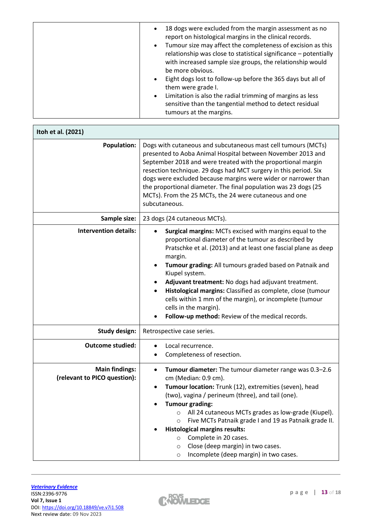| 18 dogs were excluded from the margin assessment as no<br>report on histological margins in the clinical records.<br>Tumour size may affect the completeness of excision as this<br>$\bullet$<br>relationship was close to statistical significance - potentially<br>with increased sample size groups, the relationship would<br>be more obvious.<br>Eight dogs lost to follow-up before the 365 days but all of<br>them were grade I.<br>Limitation is also the radial trimming of margins as less<br>$\bullet$<br>sensitive than the tangential method to detect residual<br>tumours at the margins. |
|---------------------------------------------------------------------------------------------------------------------------------------------------------------------------------------------------------------------------------------------------------------------------------------------------------------------------------------------------------------------------------------------------------------------------------------------------------------------------------------------------------------------------------------------------------------------------------------------------------|
|---------------------------------------------------------------------------------------------------------------------------------------------------------------------------------------------------------------------------------------------------------------------------------------------------------------------------------------------------------------------------------------------------------------------------------------------------------------------------------------------------------------------------------------------------------------------------------------------------------|

| Itoh et al. (2021)                                    |                                                                                                                                                                                                                                                                                                                                                                                                                                                                                                                                                          |  |  |  |
|-------------------------------------------------------|----------------------------------------------------------------------------------------------------------------------------------------------------------------------------------------------------------------------------------------------------------------------------------------------------------------------------------------------------------------------------------------------------------------------------------------------------------------------------------------------------------------------------------------------------------|--|--|--|
| <b>Population:</b>                                    | Dogs with cutaneous and subcutaneous mast cell tumours (MCTs)<br>presented to Aoba Animal Hospital between November 2013 and<br>September 2018 and were treated with the proportional margin<br>resection technique. 29 dogs had MCT surgery in this period. Six<br>dogs were excluded because margins were wider or narrower than<br>the proportional diameter. The final population was 23 dogs (25<br>MCTs). From the 25 MCTs, the 24 were cutaneous and one<br>subcutaneous.                                                                         |  |  |  |
| Sample size:                                          | 23 dogs (24 cutaneous MCTs).                                                                                                                                                                                                                                                                                                                                                                                                                                                                                                                             |  |  |  |
| <b>Intervention details:</b>                          | Surgical margins: MCTs excised with margins equal to the<br>proportional diameter of the tumour as described by<br>Pratschke et al. (2013) and at least one fascial plane as deep<br>margin.<br>Tumour grading: All tumours graded based on Patnaik and<br>Kiupel system.<br>Adjuvant treatment: No dogs had adjuvant treatment.<br>Histological margins: Classified as complete, close (tumour<br>cells within 1 mm of the margin), or incomplete (tumour<br>cells in the margin).<br>Follow-up method: Review of the medical records.                  |  |  |  |
| <b>Study design:</b>                                  | Retrospective case series.                                                                                                                                                                                                                                                                                                                                                                                                                                                                                                                               |  |  |  |
| <b>Outcome studied:</b>                               | Local recurrence.<br>Completeness of resection.                                                                                                                                                                                                                                                                                                                                                                                                                                                                                                          |  |  |  |
| <b>Main findings:</b><br>(relevant to PICO question): | Tumour diameter: The tumour diameter range was 0.3-2.6<br>٠<br>cm (Median: 0.9 cm).<br>Tumour location: Trunk (12), extremities (seven), head<br>٠<br>(two), vagina / perineum (three), and tail (one).<br><b>Tumour grading:</b><br>All 24 cutaneous MCTs grades as low-grade (Kiupel).<br>$\circ$<br>Five MCTs Patnaik grade I and 19 as Patnaik grade II.<br>$\circ$<br><b>Histological margins results:</b><br>Complete in 20 cases.<br>$\circ$<br>Close (deep margin) in two cases.<br>$\circ$<br>Incomplete (deep margin) in two cases.<br>$\circ$ |  |  |  |

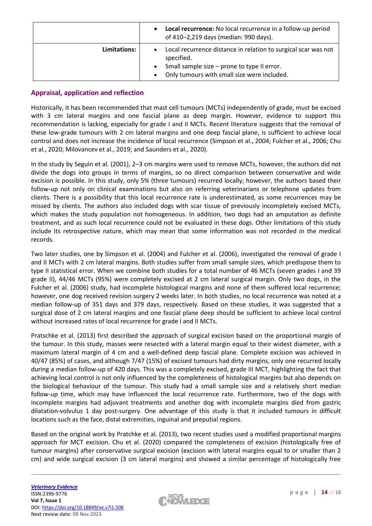|              | Local recurrence: No local recurrence in a follow-up period<br>of 410-2,219 days (median: 990 days). |
|--------------|------------------------------------------------------------------------------------------------------|
| Limitations: | Local recurrence distance in relation to surgical scar was not<br>specified.                         |
|              | Small sample size - prone to type II error.<br>$\bullet$                                             |
|              | Only tumours with small size were included.                                                          |

# **Appraisal, application and reflection**

Historically, it has been recommended that mast cell tumours (MCTs) independently of grade, must be excised with 3 cm lateral margins and one fascial plane as deep margin. However, evidence to support this recommendation is lacking, especially for grade I and II MCTs. Recent literature suggests that the removal of these low-grade tumours with 2 cm lateral margins and one deep fascial plane, is sufficient to achieve local control and does not increase the incidence of local recurrence (Simpson et al., 2004; Fulcher et al., 2006; Chu et al., 2020; Milovancev et al., 2019; and Saunders et al., 2020).

In the study by Seguin et al. (2001), 2–3 cm margins were used to remove MCTs, however, the authors did not divide the dogs into groups in terms of margins, so no direct comparison between conservative and wide excision is possible. In this study, only 5% (three tumours) recurred locally; however, the authors based their follow-up not only on clinical examinations but also on referring veterinarians or telephone updates from clients. There is a possibility that this local recurrence rate is underestimated, as some recurrences may be missed by clients. The authors also included dogs with scar tissue of previously incompletely excised MCTs, which makes the study population not homogeneous. In addition, two dogs had an amputation as definite treatment, and as such local recurrence could not be evaluated in these dogs. Other limitations of this study include its retrospective nature, which may mean that some information was not recorded in the medical records.

Two later studies, one by Simpson et al. (2004) and Fulcher et al. (2006), investigated the removal of grade I and II MCTs with 2 cm lateral margins. Both studies suffer from small sample sizes, which predispose them to type II statistical error. When we combine both studies for a total number of 46 MCTs (seven grades I and 39 grade II), 44/46 MCTs (95%) were completely excised at 2 cm lateral surgical margin. Only two dogs, in the Fulcher et al. (2006) study, had incomplete histological margins and none of them suffered local recurrence; however, one dog received revision surgery 2 weeks later. In both studies, no local recurrence was noted at a median follow-up of 351 days and 379 days, respectively. Based on these studies, it was suggested that a surgical dose of 2 cm lateral margins and one fascial plane deep should be sufficient to achieve local control without increased rates of local recurrence for grade I and II MCTs.

Pratschke et al. (2013) first described the approach of surgical excision based on the proportional margin of the tumour. In this study, masses were resected with a lateral margin equal to their widest diameter, with a maximum lateral margin of 4 cm and a well-defined deep fascial plane. Complete excision was achieved in 40/47 (85%) of cases, and although 7/47 (15%) of excised tumours had dirty margins, only one recurred locally during a median follow-up of 420 days. This was a completely excised, grade III MCT, highlighting the fact that achieving local control is not only influenced by the completeness of histological margins but also depends on the biological behaviour of the tumour. This study had a small sample size and a relatively short median follow-up time, which may have influenced the local recurrence rate. Furthermore, two of the dogs with incomplete margins had adjuvant treatments and another dog with incomplete margins died from gastric dilatation-volvulus 1 day post-surgery. One advantage of this study is that it included tumours in difficult locations such as the face, distal extremities, inguinal and preputial regions.

Based on the original work by Pratchke et al. (2013), two recent studies used a modified proportional margins approach for MCT excision. Chu et al. (2020) compared the completeness of excision (histologically free of tumour margins) after conservative surgical excision (excision with lateral margins equal to or smaller than 2 cm) and wide surgical excision (3 cm lateral margins) and showed a similar percentage of histologically free

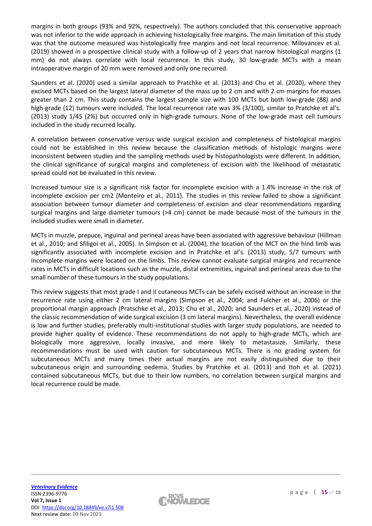margins in both groups (93% and 92%, respectively). The authors concluded that this conservative approach was not inferior to the wide approach in achieving histologically free margins. The main limitation of this study was that the outcome measured was histologically free margins and not local recurrence. Milovancev et al. (2019) showed in a prospective clinical study with a follow-up of 2 years that narrow histological margins (1 mm) do not always correlate with local recurrence. In this study, 30 low-grade MCTs with a mean intraoperative margin of 20 mm were removed and only one recurred.

Saunders et al. (2020) used a similar approach to Pratchke et al. (2013) and Chu et al. (2020), where they excised MCTs based on the largest lateral diameter of the mass up to 2 cm and with 2 cm margins for masses greater than 2 cm. This study contains the largest sample size with 100 MCTs but both low-grade (88) and high-grade (12) tumours were included. The local recurrence rate was 3% (3/100), similar to Pratchke et al's. (2013) study 1/45 (2%) but occurred only in high-grade tumours. None of the low-grade mast cell tumours included in the study recurred locally.

A correlation between conservative versus wide surgical excision and completeness of histological margins could not be established in this review because the classification methods of histologic margins were inconsistent between studies and the sampling methods used by histopathologists were different. In addition, the clinical significance of surgical margins and completeness of excision with the likelihood of metastatic spread could not be evaluated in this review.

Increased tumour size is a significant risk factor for incomplete excision with a 1.4% increase in the risk of incomplete excision per cm2 (Monteiro et al., 2011). The studies in this review failed to show a significant association between tumour diameter and completeness of excision and clear recommendations regarding surgical margins and large diameter tumours (>4 cm) cannot be made because most of the tumours in the included studies were small in diameter.

MCTs in muzzle, prepuce, inguinal and perineal areas have been associated with aggressive behaviour (Hillman et al., 2010; and Sfiligoi et al., 2005). In Simpson et al. (2004), the location of the MCT on the hind limb was significantly associated with incomplete excision and in Pratchke et al's. (2013) study, 5/7 tumours with incomplete margins were located on the limbs. This review cannot evaluate surgical margins and recurrence rates in MCTs in difficult locations such as the muzzle, distal extremities, inguinal and perineal areas due to the small number of these tumours in the study populations.

This review suggests that most grade I and II cutaneous MCTs can be safely excised without an increase in the recurrence rate using either 2 cm lateral margins (Simpson et al., 2004; and Fulcher et al., 2006) or the proportional margin approach (Pratschke et al., 2013; Chu et al., 2020; and Saunders et al., 2020) instead of the classic recommendation of wide surgical excision (3 cm lateral margins). Nevertheless, the overall evidence is low and further studies, preferably multi-institutional studies with larger study populations, are needed to provide higher quality of evidence. These recommendations do not apply to high-grade MCTs, which are biologically more aggressive, locally invasive, and more likely to metastasize. Similarly, these recommendations must be used with caution for subcutaneous MCTs. There is no grading system for subcutaneous MCTs and many times their actual margins are not easily distinguished due to their subcutaneous origin and surrounding oedema. Studies by Pratchke et al. (2013) and Itoh et al. (2021) contained subcutaneous MCTs, but due to their low numbers, no correlation between surgical margins and local recurrence could be made.

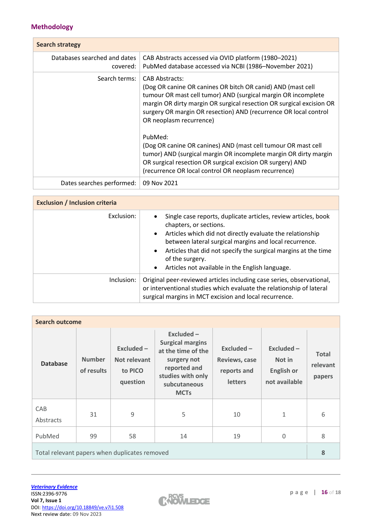# **Methodology**

| <b>Search strategy</b>                   |                                                                                                                                                                                                                                                                                                                              |
|------------------------------------------|------------------------------------------------------------------------------------------------------------------------------------------------------------------------------------------------------------------------------------------------------------------------------------------------------------------------------|
| Databases searched and dates<br>covered: | CAB Abstracts accessed via OVID platform (1980-2021)<br>PubMed database accessed via NCBI (1986-November 2021)                                                                                                                                                                                                               |
| Search terms:                            | <b>CAB Abstracts:</b><br>(Dog OR canine OR canines OR bitch OR canid) AND (mast cell<br>tumour OR mast cell tumor) AND (surgical margin OR incomplete<br>margin OR dirty margin OR surgical resection OR surgical excision OR<br>surgery OR margin OR resection) AND (recurrence OR local control<br>OR neoplasm recurrence) |
|                                          | PubMed:<br>(Dog OR canine OR canines) AND (mast cell tumour OR mast cell<br>tumor) AND (surgical margin OR incomplete margin OR dirty margin<br>OR surgical resection OR surgical excision OR surgery) AND<br>(recurrence OR local control OR neoplasm recurrence)                                                           |
| Dates searches performed:                | 09 Nov 2021                                                                                                                                                                                                                                                                                                                  |

| <b>Exclusion / Inclusion criteria</b> |                                                                                                                                                                                                                                                                                                                                                                                                |  |  |  |
|---------------------------------------|------------------------------------------------------------------------------------------------------------------------------------------------------------------------------------------------------------------------------------------------------------------------------------------------------------------------------------------------------------------------------------------------|--|--|--|
| Exclusion:                            | Single case reports, duplicate articles, review articles, book<br>chapters, or sections.<br>Articles which did not directly evaluate the relationship<br>$\bullet$<br>between lateral surgical margins and local recurrence.<br>Articles that did not specify the surgical margins at the time<br>$\bullet$<br>of the surgery.<br>Articles not available in the English language.<br>$\bullet$ |  |  |  |
| Inclusion:                            | Original peer-reviewed articles including case series, observational,<br>or interventional studies which evaluate the relationship of lateral<br>surgical margins in MCT excision and local recurrence.                                                                                                                                                                                        |  |  |  |

| <b>Search outcome</b>                         |                             |                                                     |                                                                                                                                                  |                                                                |                                                            |                                    |
|-----------------------------------------------|-----------------------------|-----------------------------------------------------|--------------------------------------------------------------------------------------------------------------------------------------------------|----------------------------------------------------------------|------------------------------------------------------------|------------------------------------|
| <b>Database</b>                               | <b>Number</b><br>of results | $Excluded -$<br>Not relevant<br>to PICO<br>question | $Excluded -$<br><b>Surgical margins</b><br>at the time of the<br>surgery not<br>reported and<br>studies with only<br>subcutaneous<br><b>MCTs</b> | $Excluded -$<br>Reviews, case<br>reports and<br><b>letters</b> | Excluded -<br>Not in<br><b>English or</b><br>not available | <b>Total</b><br>relevant<br>papers |
| CAB<br>Abstracts                              | 31                          | 9                                                   | 5                                                                                                                                                | 10                                                             | 1                                                          | 6                                  |
| PubMed                                        | 99                          | 58                                                  | 14                                                                                                                                               | 19                                                             | $\Omega$                                                   | 8                                  |
| Total relevant papers when duplicates removed |                             |                                                     |                                                                                                                                                  | 8                                                              |                                                            |                                    |

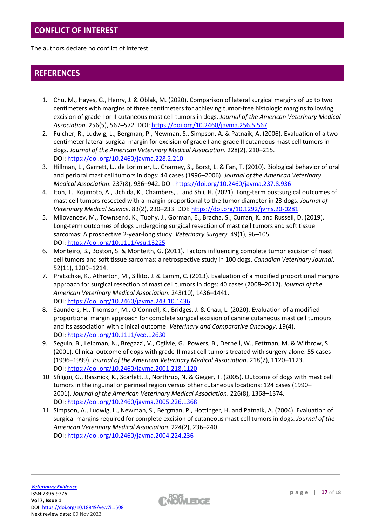# **CONFLICT OF INTEREST**

The authors declare no conflict of interest.

# **REFERENCES**

- 1. Chu, M., Hayes, G., Henry, J. & Oblak, M. (2020). Comparison of lateral surgical margins of up to two centimeters with margins of three centimeters for achieving tumor-free histologic margins following excision of grade I or II cutaneous mast cell tumors in dogs. *Journal of the American Veterinary Medical Association*. 256(5), 567–572. DOI: <https://doi.org/10.2460/javma.256.5.567>
- 2. Fulcher, R., Ludwig, L., Bergman, P., Newman, S., Simpson, A. & Patnaik, A. (2006). Evaluation of a twocentimeter lateral surgical margin for excision of grade I and grade II cutaneous mast cell tumors in dogs. *Journal of the American Veterinary Medical Association*. 228(2), 210–215. DOI: <https://doi.org/10.2460/javma.228.2.210>
- 3. Hillman, L., Garrett, L., de Lorimier, L., Charney, S., Borst, L. & Fan, T. (2010). Biological behavior of oral and perioral mast cell tumors in dogs: 44 cases (1996–2006). *Journal of the American Veterinary Medical Association*. 237(8), 936–942. DOI: <https://doi.org/10.2460/javma.237.8.936>
- 4. Itoh, T., Kojimoto, A., Uchida, K., Chambers, J. and Shii, H. (2021). Long-term postsurgical outcomes of mast cell tumors resected with a margin proportional to the tumor diameter in 23 dogs. *Journal of Veterinary Medical Science*. 83(2), 230–233. DOI: <https://doi.org/10.1292/jvms.20-0281>
- 5. Milovancev, M., Townsend, K., Tuohy, J., Gorman, E., Bracha, S., Curran, K. and Russell, D. (2019). Long-term outcomes of dogs undergoing surgical resection of mast cell tumors and soft tissue sarcomas: A prospective 2‐year‐long study. *Veterinary Surgery*. 49(1), 96–105. DOI: <https://doi.org/10.1111/vsu.13225>
- 6. Monteiro, B., Boston, S. & Monteith, G. (2011). Factors influencing complete tumor excision of mast cell tumors and soft tissue sarcomas: a retrospective study in 100 dogs. *Canadian Veterinary Journal*. 52(11), 1209–1214.
- 7. Pratschke, K., Atherton, M., Sillito, J. & Lamm, C. (2013). Evaluation of a modified proportional margins approach for surgical resection of mast cell tumors in dogs: 40 cases (2008–2012). *Journal of the American Veterinary Medical Association*. 243(10), 1436–1441. DOI: <https://doi.org/10.2460/javma.243.10.1436>
- 8. Saunders, H., Thomson, M., O'Connell, K., Bridges, J. & Chau, L. (2020). Evaluation of a modified proportional margin approach for complete surgical excision of canine cutaneous mast cell tumours and its association with clinical outcome. *Veterinary and Comparative Oncology*. 19(4). DOI: <https://doi.org/10.1111/vco.12630>
- 9. Seguin, B., Leibman, N., Bregazzi, V., Ogilvie, G., Powers, B., Dernell, W., Fettman, M. & Withrow, S. (2001). Clinical outcome of dogs with grade-II mast cell tumors treated with surgery alone: 55 cases (1996–1999). *Journal of the American Veterinary Medical Association*. 218(7), 1120–1123. DOI: <https://doi.org/10.2460/javma.2001.218.1120>
- 10. Sfiligoi, G., Rassnick, K., Scarlett, J., Northrup, N. & Gieger, T. (2005). Outcome of dogs with mast cell tumors in the inguinal or perineal region versus other cutaneous locations: 124 cases (1990– 2001). *Journal of the American Veterinary Medical Association*. 226(8), 1368–1374. DOI: <https://doi.org/10.2460/javma.2005.226.1368>
- 11. Simpson, A., Ludwig, L., Newman, S., Bergman, P., Hottinger, H. and Patnaik, A. (2004). Evaluation of surgical margins required for complete excision of cutaneous mast cell tumors in dogs. *Journal of the American Veterinary Medical Association*. 224(2), 236–240. DOI: <https://doi.org/10.2460/javma.2004.224.236>